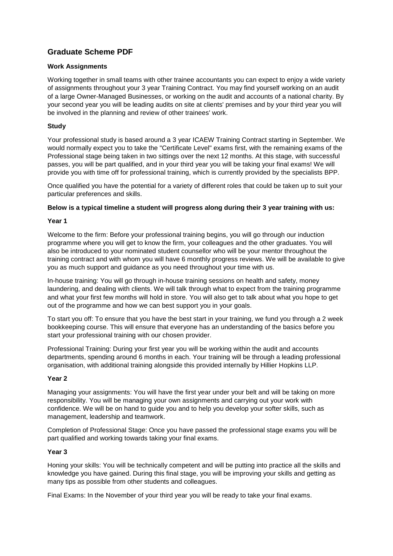# **Graduate Scheme PDF**

## **Work Assignments**

Working together in small teams with other trainee accountants you can expect to enjoy a wide variety of assignments throughout your 3 year Training Contract. You may find yourself working on an audit of a large Owner-Managed Businesses, or working on the audit and accounts of a national charity. By your second year you will be leading audits on site at clients' premises and by your third year you will be involved in the planning and review of other trainees' work.

# **Study**

Your professional study is based around a 3 year ICAEW Training Contract starting in September. We would normally expect you to take the "Certificate Level" exams first, with the remaining exams of the Professional stage being taken in two sittings over the next 12 months. At this stage, with successful passes, you will be part qualified, and in your third year you will be taking your final exams! We will provide you with time off for professional training, which is currently provided by the specialists BPP.

Once qualified you have the potential for a variety of different roles that could be taken up to suit your particular preferences and skills.

## **Below is a typical timeline a student will progress along during their 3 year training with us:**

#### **Year 1**

Welcome to the firm: Before your professional training begins, you will go through our induction programme where you will get to know the firm, your colleagues and the other graduates. You will also be introduced to your nominated student counsellor who will be your mentor throughout the training contract and with whom you will have 6 monthly progress reviews. We will be available to give you as much support and guidance as you need throughout your time with us.

In-house training: You will go through in-house training sessions on health and safety, money laundering, and dealing with clients. We will talk through what to expect from the training programme and what your first few months will hold in store. You will also get to talk about what you hope to get out of the programme and how we can best support you in your goals.

To start you off: To ensure that you have the best start in your training, we fund you through a 2 week bookkeeping course. This will ensure that everyone has an understanding of the basics before you start your professional training with our chosen provider.

Professional Training: During your first year you will be working within the audit and accounts departments, spending around 6 months in each. Your training will be through a leading professional organisation, with additional training alongside this provided internally by Hillier Hopkins LLP.

#### **Year 2**

Managing your assignments: You will have the first year under your belt and will be taking on more responsibility. You will be managing your own assignments and carrying out your work with confidence. We will be on hand to guide you and to help you develop your softer skills, such as management, leadership and teamwork.

Completion of Professional Stage: Once you have passed the professional stage exams you will be part qualified and working towards taking your final exams.

#### **Year 3**

Honing your skills: You will be technically competent and will be putting into practice all the skills and knowledge you have gained. During this final stage, you will be improving your skills and getting as many tips as possible from other students and colleagues.

Final Exams: In the November of your third year you will be ready to take your final exams.